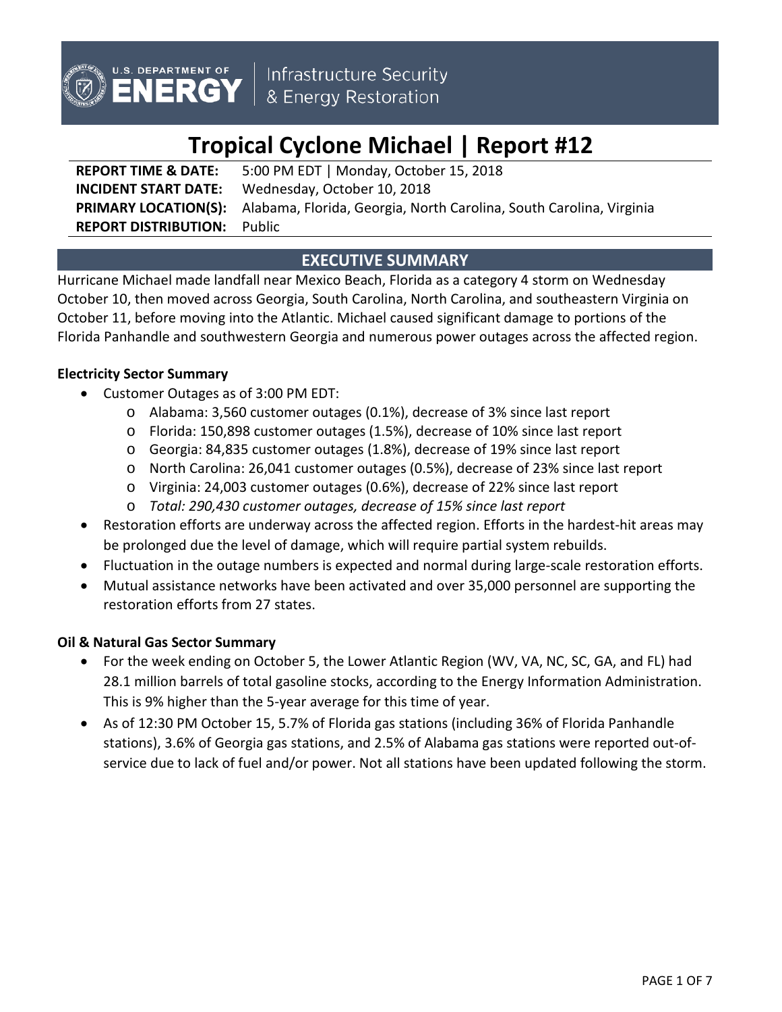

# **Tropical Cyclone Michael | Report #12**

**REPORT TIME & DATE:** 5:00 PM EDT | Monday, October 15, 2018 **INCIDENT START DATE:** Wednesday, October 10, 2018 **PRIMARY LOCATION(S):** Alabama, Florida, Georgia, North Carolina, South Carolina, Virginia **REPORT DISTRIBUTION:** Public

# **EXECUTIVE SUMMARY**

Hurricane Michael made landfall near Mexico Beach, Florida as a category 4 storm on Wednesday October 10, then moved across Georgia, South Carolina, North Carolina, and southeastern Virginia on October 11, before moving into the Atlantic. Michael caused significant damage to portions of the Florida Panhandle and southwestern Georgia and numerous power outages across the affected region.

## **Electricity Sector Summary**

- Customer Outages as of 3:00 PM EDT:
	- o Alabama: 3,560 customer outages (0.1%), decrease of 3% since last report
	- o Florida: 150,898 customer outages (1.5%), decrease of 10% since last report
	- o Georgia: 84,835 customer outages (1.8%), decrease of 19% since last report
	- o North Carolina: 26,041 customer outages (0.5%), decrease of 23% since last report
	- o Virginia: 24,003 customer outages (0.6%), decrease of 22% since last report
	- o *Total: 290,430 customer outages, decrease of 15% since last report*
- Restoration efforts are underway across the affected region. Efforts in the hardest-hit areas may be prolonged due the level of damage, which will require partial system rebuilds.
- Fluctuation in the outage numbers is expected and normal during large-scale restoration efforts.
- Mutual assistance networks have been activated and over 35,000 personnel are supporting the restoration efforts from 27 states.

## **Oil & Natural Gas Sector Summary**

- For the week ending on October 5, the Lower Atlantic Region (WV, VA, NC, SC, GA, and FL) had 28.1 million barrels of total gasoline stocks, according to the Energy Information Administration. This is 9% higher than the 5-year average for this time of year.
- As of 12:30 PM October 15, 5.7% of Florida gas stations (including 36% of Florida Panhandle stations), 3.6% of Georgia gas stations, and 2.5% of Alabama gas stations were reported out-ofservice due to lack of fuel and/or power. Not all stations have been updated following the storm.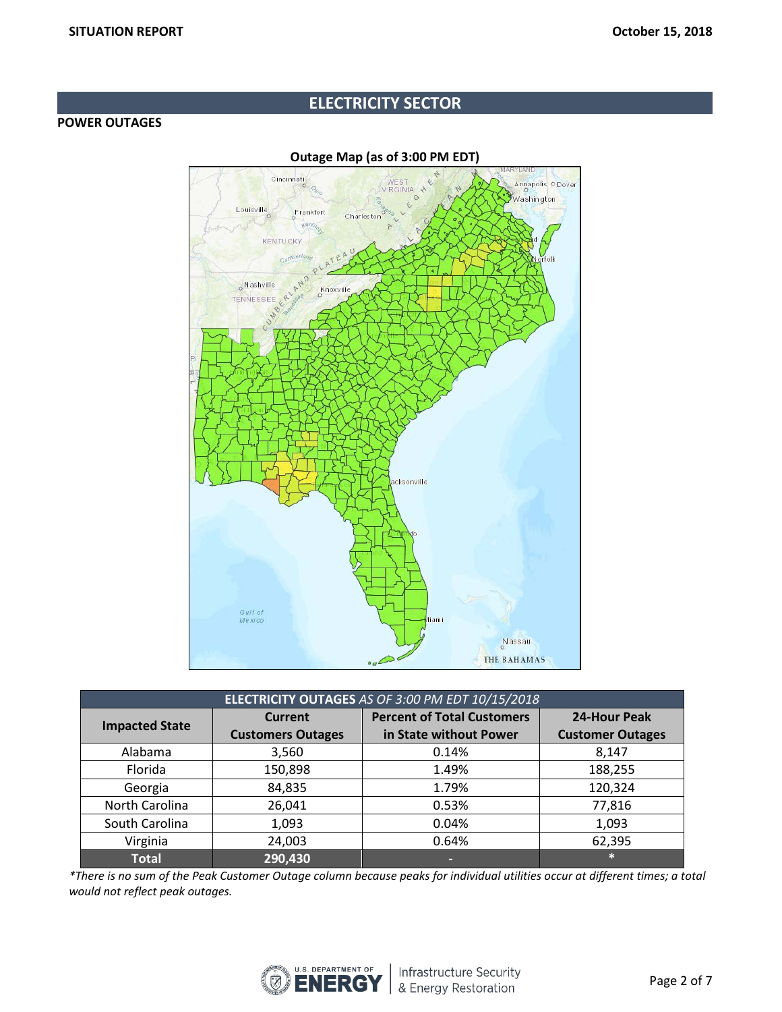# **ELECTRICITY SECTOR**

#### **POWER OUTAGES**



**ELECTRICITY OUTAGES** *AS OF 3:00 PM EDT 10/15/2018* **Impacted State Current Customers Outages Percent of Total Customers in State without Power 24-Hour Peak Customer Outages** Alabama | 3,560 | 0.14% | 8,147 Florida 150,898 1.49% 188,255 Georgia 84,835 1.79% 120,324 North Carolina | 26,041 | 0.53% | 77,816 South Carolina | 1,093 | 0.04% | 1,093 Virginia 24,003 0.64% 62,395 **Total 290,430 - \***

*\*There is no sum of the Peak Customer Outage column because peaks for individual utilities occur at different times; a total would not reflect peak outages.*

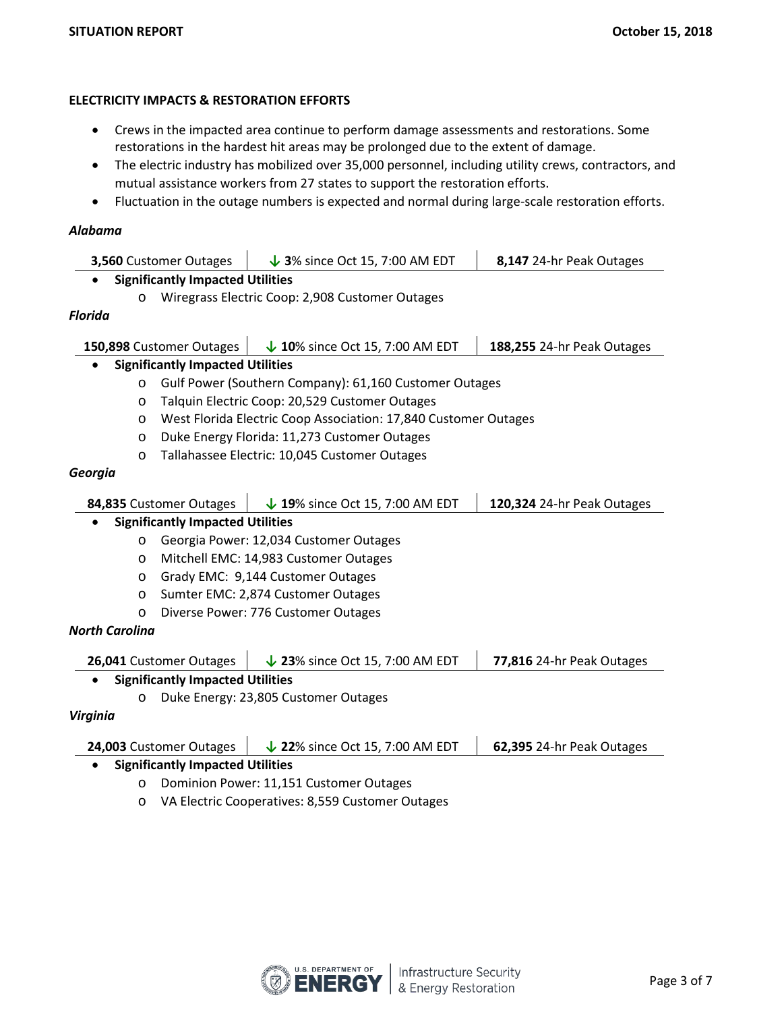## **ELECTRICITY IMPACTS & RESTORATION EFFORTS**

- Crews in the impacted area continue to perform damage assessments and restorations. Some restorations in the hardest hit areas may be prolonged due to the extent of damage.
- The electric industry has mobilized over 35,000 personnel, including utility crews, contractors, and mutual assistance workers from 27 states to support the restoration efforts.
- Fluctuation in the outage numbers is expected and normal during large-scale restoration efforts.

## *Alabama*

| 3,560 Customer Outages<br>$\downarrow$ 3% since Oct 15, 7:00 AM EDT                                 |                                                                 | 8,147 24-hr Peak Outages   |  |  |  |  |
|-----------------------------------------------------------------------------------------------------|-----------------------------------------------------------------|----------------------------|--|--|--|--|
| <b>Significantly Impacted Utilities</b>                                                             |                                                                 |                            |  |  |  |  |
| $\circ$                                                                                             | Wiregrass Electric Coop: 2,908 Customer Outages                 |                            |  |  |  |  |
| Florida                                                                                             |                                                                 |                            |  |  |  |  |
| 150,898 Customer Outages                                                                            | $\downarrow$ 10% since Oct 15, 7:00 AM EDT                      | 188,255 24-hr Peak Outages |  |  |  |  |
| <b>Significantly Impacted Utilities</b>                                                             |                                                                 |                            |  |  |  |  |
| O                                                                                                   | Gulf Power (Southern Company): 61,160 Customer Outages          |                            |  |  |  |  |
| O                                                                                                   | Talquin Electric Coop: 20,529 Customer Outages                  |                            |  |  |  |  |
| O                                                                                                   | West Florida Electric Coop Association: 17,840 Customer Outages |                            |  |  |  |  |
| O                                                                                                   | Duke Energy Florida: 11,273 Customer Outages                    |                            |  |  |  |  |
| O                                                                                                   | Tallahassee Electric: 10,045 Customer Outages                   |                            |  |  |  |  |
| Georgia                                                                                             |                                                                 |                            |  |  |  |  |
|                                                                                                     |                                                                 |                            |  |  |  |  |
| 84,835 Customer Outages<br>$\downarrow$ 19% since Oct 15, 7:00 AM EDT<br>120,324 24-hr Peak Outages |                                                                 |                            |  |  |  |  |
| <b>Significantly Impacted Utilities</b><br>$\bullet$                                                |                                                                 |                            |  |  |  |  |
| O                                                                                                   | Georgia Power: 12,034 Customer Outages                          |                            |  |  |  |  |
| O                                                                                                   | Mitchell EMC: 14,983 Customer Outages                           |                            |  |  |  |  |
| O                                                                                                   | Grady EMC: 9,144 Customer Outages                               |                            |  |  |  |  |
| O                                                                                                   | Sumter EMC: 2,874 Customer Outages                              |                            |  |  |  |  |
| O                                                                                                   | Diverse Power: 776 Customer Outages                             |                            |  |  |  |  |
| <b>North Carolina</b>                                                                               |                                                                 |                            |  |  |  |  |
| $\downarrow$ 23% since Oct 15, 7:00 AM EDT<br>77,816 24-hr Peak Outages<br>26,041 Customer Outages  |                                                                 |                            |  |  |  |  |
| <b>Significantly Impacted Utilities</b>                                                             |                                                                 |                            |  |  |  |  |
| O                                                                                                   | Duke Energy: 23,805 Customer Outages                            |                            |  |  |  |  |
| Virginia                                                                                            |                                                                 |                            |  |  |  |  |
| 24,003 Customer Outages<br>$\downarrow$ 22% since Oct 15, 7:00 AM EDT<br>62,395 24-hr Peak Outages  |                                                                 |                            |  |  |  |  |
| <b>Significantly Impacted Utilities</b>                                                             |                                                                 |                            |  |  |  |  |
| O                                                                                                   | Dominion Power: 11,151 Customer Outages                         |                            |  |  |  |  |
| O                                                                                                   | VA Electric Cooperatives: 8,559 Customer Outages                |                            |  |  |  |  |

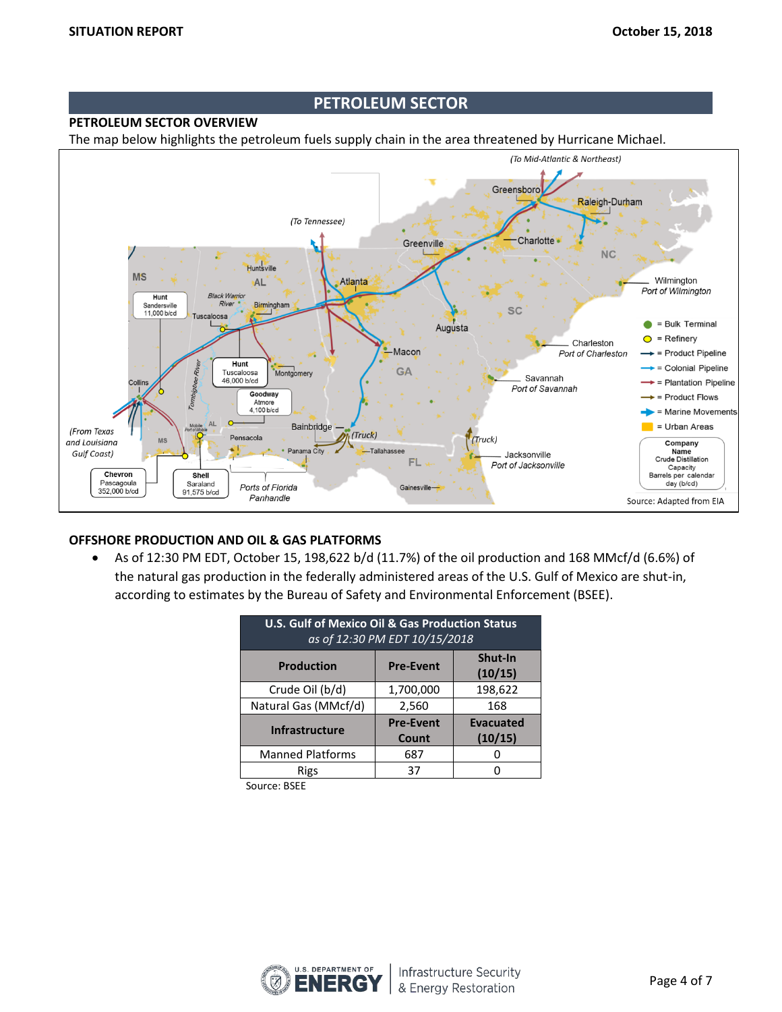## **PETROLEUM SECTOR**

# **PETROLEUM SECTOR OVERVIEW**

The map below highlights the petroleum fuels supply chain in the area threatened by Hurricane Michael.



#### **OFFSHORE PRODUCTION AND OIL & GAS PLATFORMS**

• As of 12:30 PM EDT, October 15, 198,622 b/d (11.7%) of the oil production and 168 MMcf/d (6.6%) of the natural gas production in the federally administered areas of the U.S. Gulf of Mexico are shut-in, according to estimates by the Bureau of Safety and Environmental Enforcement (BSEE).

| <b>U.S. Gulf of Mexico Oil &amp; Gas Production Status</b><br>as of 12:30 PM EDT 10/15/2018 |                  |                    |  |  |  |
|---------------------------------------------------------------------------------------------|------------------|--------------------|--|--|--|
| <b>Production</b>                                                                           | <b>Pre-Event</b> | Shut-In<br>(10/15) |  |  |  |
| Crude Oil (b/d)                                                                             | 1,700,000        | 198,622            |  |  |  |
| Natural Gas (MMcf/d)                                                                        | 2,560            | 168                |  |  |  |
| <b>Infrastructure</b>                                                                       | <b>Pre-Event</b> | <b>Evacuated</b>   |  |  |  |
|                                                                                             | Count            | (10/15)            |  |  |  |
| <b>Manned Platforms</b>                                                                     | 687              |                    |  |  |  |
| Rigs                                                                                        | 37               |                    |  |  |  |

Source: BSEE

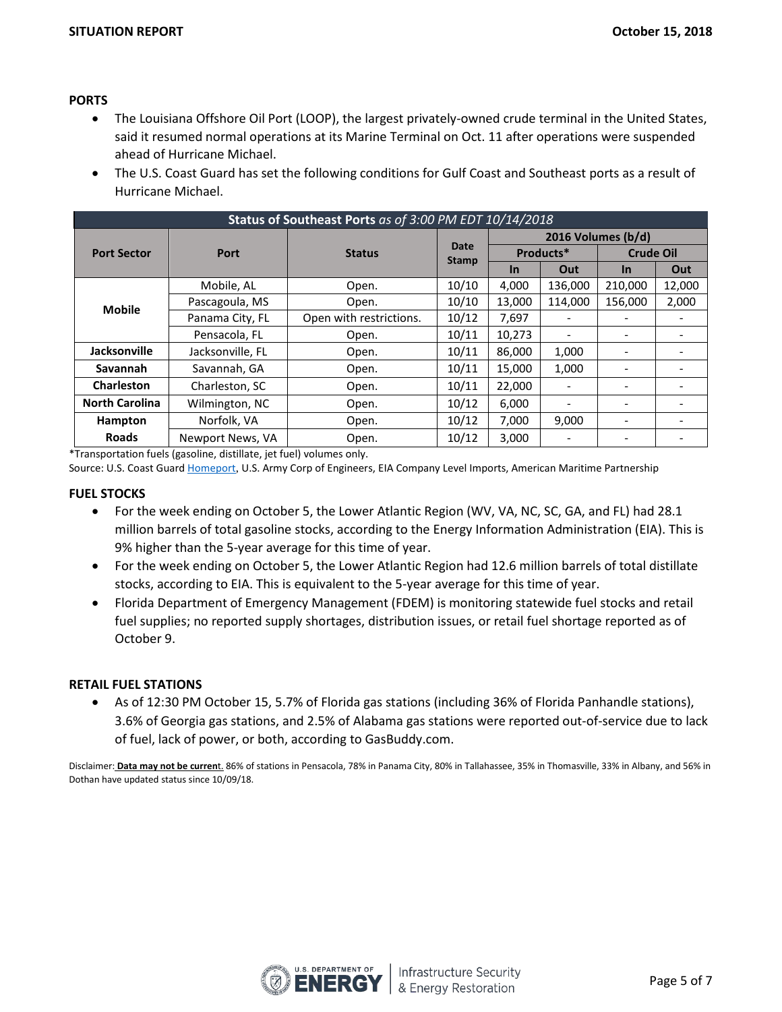## **PORTS**

- The Louisiana Offshore Oil Port (LOOP), the largest privately-owned crude terminal in the United States, said it resumed normal operations at its Marine Terminal on Oct. 11 after operations were suspended ahead of Hurricane Michael.
- The U.S. Coast Guard has set the following conditions for Gulf Coast and Southeast ports as a result of Hurricane Michael.

| Status of Southeast Ports as of 3:00 PM EDT 10/14/2018 |                       |                         |                      |                    |                              |                  |                          |
|--------------------------------------------------------|-----------------------|-------------------------|----------------------|--------------------|------------------------------|------------------|--------------------------|
|                                                        | Port<br><b>Status</b> |                         | Date<br><b>Stamp</b> | 2016 Volumes (b/d) |                              |                  |                          |
| <b>Port Sector</b>                                     |                       |                         |                      | Products*          |                              | <b>Crude Oil</b> |                          |
|                                                        |                       |                         | <b>In</b>            | Out                | In                           | Out              |                          |
|                                                        | Mobile, AL            | Open.                   | 10/10                | 4,000              | 136,000                      | 210,000          | 12,000                   |
| <b>Mobile</b>                                          | Pascagoula, MS        | Open.                   | 10/10                | 13,000             | 114,000                      | 156,000          | 2,000                    |
|                                                        | Panama City, FL       | Open with restrictions. | 10/12                | 7,697              |                              |                  | $\overline{\phantom{0}}$ |
|                                                        | Pensacola, FL         | Open.                   | 10/11                | 10,273             | $\overline{\phantom{a}}$     |                  | $\overline{\phantom{0}}$ |
| Jacksonville                                           | Jacksonville, FL      | Open.                   | 10/11                | 86,000             | 1,000                        |                  |                          |
| Savannah                                               | Savannah, GA          | Open.                   | 10/11                | 15,000             | 1,000                        |                  |                          |
| Charleston                                             | Charleston, SC        | Open.                   | 10/11                | 22,000             |                              |                  |                          |
| <b>North Carolina</b>                                  | Wilmington, NC        | Open.                   | 10/12                | 6,000              | $\qquad \qquad \blacksquare$ |                  |                          |
| Hampton                                                | Norfolk, VA           | Open.                   | 10/12                | 7,000              | 9,000                        |                  |                          |
| <b>Roads</b>                                           | Newport News, VA      | Open.                   | 10/12                | 3,000              |                              |                  | $\overline{\phantom{0}}$ |

\*Transportation fuels (gasoline, distillate, jet fuel) volumes only.

Source: U.S. Coast Guard **Homeport, U.S. Army Corp of Engineers**, EIA Company Level Imports, American Maritime Partnership

#### **FUEL STOCKS**

- For the week ending on October 5, the Lower Atlantic Region (WV, VA, NC, SC, GA, and FL) had 28.1 million barrels of total gasoline stocks, according to the Energy Information Administration (EIA). This is 9% higher than the 5-year average for this time of year.
- For the week ending on October 5, the Lower Atlantic Region had 12.6 million barrels of total distillate stocks, according to EIA. This is equivalent to the 5-year average for this time of year.
- Florida Department of Emergency Management (FDEM) is monitoring statewide fuel stocks and retail fuel supplies; no reported supply shortages, distribution issues, or retail fuel shortage reported as of October 9.

#### **RETAIL FUEL STATIONS**

• As of 12:30 PM October 15, 5.7% of Florida gas stations (including 36% of Florida Panhandle stations), 3.6% of Georgia gas stations, and 2.5% of Alabama gas stations were reported out-of-service due to lack of fuel, lack of power, or both, according to GasBuddy.com.

Disclaimer: **Data may not be curren**t. 86% of stations in Pensacola, 78% in Panama City, 80% in Tallahassee, 35% in Thomasville, 33% in Albany, and 56% in Dothan have updated status since 10/09/18.

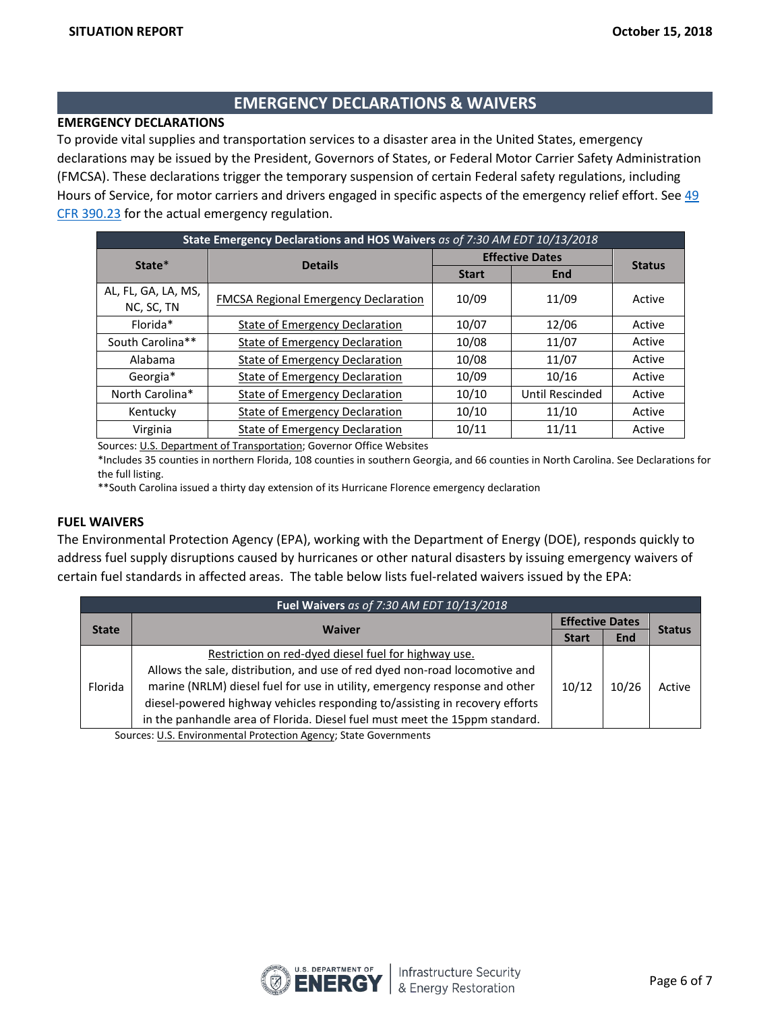# **EMERGENCY DECLARATIONS & WAIVERS**

## **EMERGENCY DECLARATIONS**

To provide vital supplies and transportation services to a disaster area in the United States, emergency declarations may be issued by the President, Governors of States, or Federal Motor Carrier Safety Administration (FMCSA). These declarations trigger the temporary suspension of certain Federal safety regulations, including Hours of Service, for motor carriers and drivers engaged in specific aspects of the emergency relief effort. See [49](https://www.fmcsa.dot.gov/regulations/title49/section/390.23)  [CFR 390.23](https://www.fmcsa.dot.gov/regulations/title49/section/390.23) for the actual emergency regulation.

| State Emergency Declarations and HOS Waivers as of 7:30 AM EDT 10/13/2018 |                                             |                        |                 |               |  |  |
|---------------------------------------------------------------------------|---------------------------------------------|------------------------|-----------------|---------------|--|--|
| State*                                                                    | <b>Details</b>                              | <b>Effective Dates</b> |                 |               |  |  |
|                                                                           |                                             | <b>Start</b>           | <b>End</b>      | <b>Status</b> |  |  |
| AL, FL, GA, LA, MS,<br>NC, SC, TN                                         | <b>FMCSA Regional Emergency Declaration</b> | 10/09                  | 11/09           | Active        |  |  |
| Florida*                                                                  | State of Emergency Declaration              | 10/07                  | 12/06           | Active        |  |  |
| South Carolina**                                                          | <b>State of Emergency Declaration</b>       | 10/08                  | 11/07           | Active        |  |  |
| Alabama                                                                   | <b>State of Emergency Declaration</b>       | 10/08                  | 11/07           | Active        |  |  |
| Georgia*                                                                  | <b>State of Emergency Declaration</b>       | 10/09                  | 10/16           | Active        |  |  |
| North Carolina*                                                           | <b>State of Emergency Declaration</b>       | 10/10                  | Until Rescinded | Active        |  |  |
| Kentucky                                                                  | State of Emergency Declaration              | 10/10                  | 11/10           | Active        |  |  |
| Virginia                                                                  | <b>State of Emergency Declaration</b>       | 10/11                  | 11/11           | Active        |  |  |

Sources[: U.S. Department of Transportation;](http://www.fmcsa.dot.gov/emergency) Governor Office Websites

\*Includes 35 counties in northern Florida, 108 counties in southern Georgia, and 66 counties in North Carolina. See Declarations for the full listing.

\*\*South Carolina issued a thirty day extension of its Hurricane Florence emergency declaration

#### **FUEL WAIVERS**

The Environmental Protection Agency (EPA), working with the Department of Energy (DOE), responds quickly to address fuel supply disruptions caused by hurricanes or other natural disasters by issuing emergency waivers of certain fuel standards in affected areas. The table below lists fuel-related waivers issued by the EPA:

| Fuel Waivers as of 7:30 AM EDT 10/13/2018 |                                                                             |       |                        |               |  |
|-------------------------------------------|-----------------------------------------------------------------------------|-------|------------------------|---------------|--|
|                                           | <b>Waiver</b>                                                               |       | <b>Effective Dates</b> |               |  |
| <b>State</b>                              |                                                                             |       | <b>End</b>             | <b>Status</b> |  |
|                                           | Restriction on red-dyed diesel fuel for highway use.                        |       | 10/26                  | Active        |  |
| Florida                                   | Allows the sale, distribution, and use of red dyed non-road locomotive and  |       |                        |               |  |
|                                           | marine (NRLM) diesel fuel for use in utility, emergency response and other  | 10/12 |                        |               |  |
|                                           | diesel-powered highway vehicles responding to/assisting in recovery efforts |       |                        |               |  |
|                                           | in the panhandle area of Florida. Diesel fuel must meet the 15ppm standard. |       |                        |               |  |

Sources: [U.S. Environmental Protection Agency;](https://www.epa.gov/enforcement/fuel-waivers) State Governments